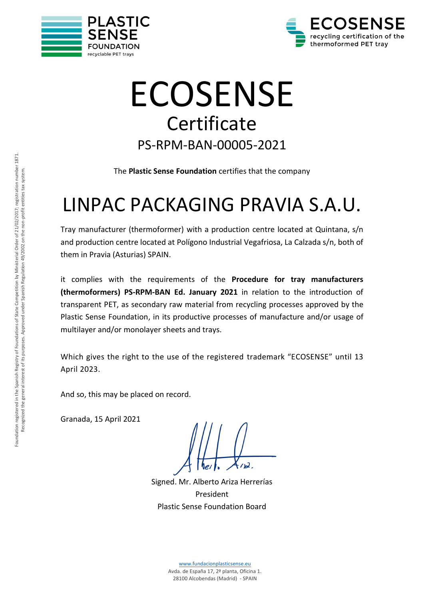



# ECOSENSE **Certificate** PS-RPM-BAN-00005-2021

The **Plastic Sense Foundation** certifies that the company

# LINPAC PACKAGING PRAVIA S.A.U.

Tray manufacturer (thermoformer) with a production centre located at Quintana, s/n and production centre located at Polígono Industrial Vegafriosa, La Calzada s/n, both of them in Pravia (Asturias) SPAIN.

it complies with the requirements of the **Procedure for tray manufacturers (thermoformers) PS-RPM-BAN Ed. January 2021** in relation to the introduction of transparent PET, as secondary raw material from recycling processes approved by the Plastic Sense Foundation, in its productive processes of manufacture and/or usage of multilayer and/or monolayer sheets and trays.

Which gives the right to the use of the registered trademark "ECOSENSE" until 13 April 2023.

And so, this may be placed on record.

Granada, 15 April 2021

Signed. Mr. Alberto Ariza Herrerías President Plastic Sense Foundation Board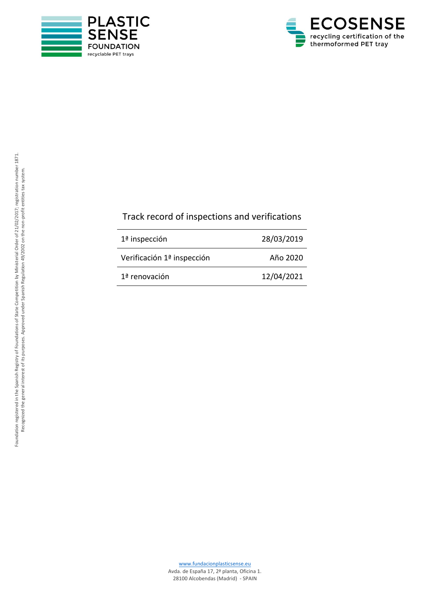



#### Track record of inspection s and verification s

| $1a$ inspección            | 28/03/2019 |
|----------------------------|------------|
| Verificación 1ª inspección | Año 2020   |
| 1ª renovación              | 12/04/2021 |